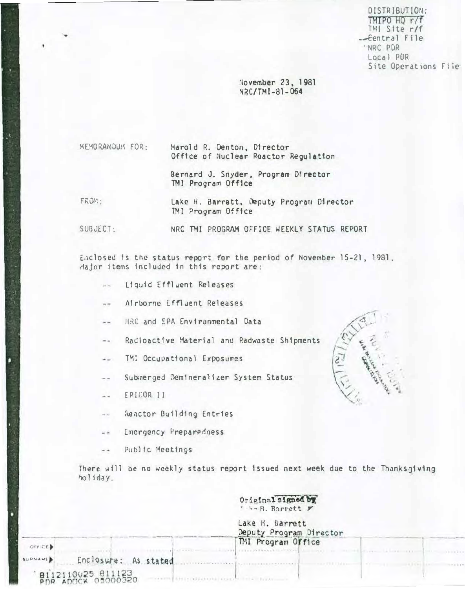DISTRIBUTION: TMIPO HQ r/f TMI Site r/f  $-$ Eentral File 'NRC PDR Local PDR Site Operations File

November 23, 1981 NRC/TMI-81-064

**KENORANDUM FOR:** 

Harold R. Denton, Director Office of Nuclear Reactor Regulation

Bernard J. Snyder, Program Director TMI Program Office

FROM:

4

Lake H. Barrett, Deputy Program Director TMI Program Office

SUBJECT: NRC TMI PROGRAM OFFICE WEEKLY STATUS REPORT

Enclosed is the status report for the period of November 15-21, 1981. Hajor items included in this report are:

- Liquid Effluent Releases
- Airborne Effluent Releases
- MRC and EPA Environmental Cata
- Radioactive Material and Radwaste Shipments  $= -$

 $-7839641111472721$ 

- TMI Occupational Exposures
- Submerged Demineralizer System Status  $\overline{\phantom{a}}$
- EPICOR II  $\sim$   $\sim$
- Reactor Building Entries
- **Emergency Preparedness**  $-$
- Public Meetings

There will be no weekly status report issued next week due to the Thanksgiving holiday.

> Original signed by " Folk, Barrett y

Lake H. Barrett Deputy Program Director TMI Program Office

 $\frac{1}{2}$ 

| <b>ABNAME</b> | Enclosure: As stated                    |  |
|---------------|-----------------------------------------|--|
|               | 8112110025 811123<br>PDR ADOCK 05000320 |  |

OFFICE. **SURNAME**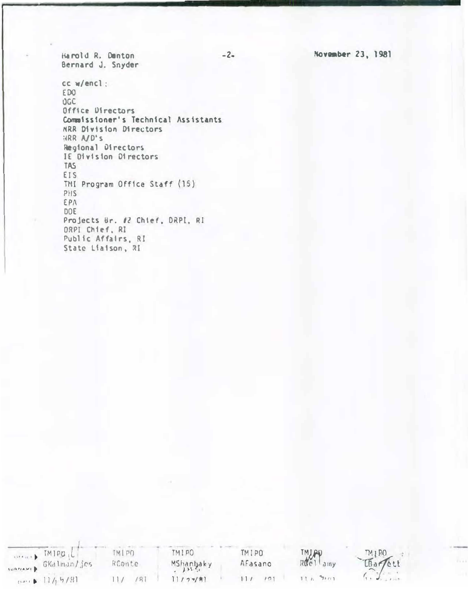November 23, 1981

Harold R. Danton Bernard J. Snyder

cc w/encl: EDO **DGC** Office Directors Commoissioner's Technical Assistants NRR Division Directors HRR A/D'S Regional Directors IE Division Directors TAS EIS TMI Program Office Staff (15) PHS EPA DOE Projects Br. #2 Chief, DRPI, RI ORPI Chief, RI Public Affairs, RI<br>State Liaison, RI

 $-2-$ 

| TMIPO (LI                | MIPO   | TMIPO     | TMIPO   |                   |             |
|--------------------------|--------|-----------|---------|-------------------|-------------|
| waysurp GKalman/jes      | RConte | MShanbaky | AFasano | TMLAD<br>Ruellamy | THIPO       |
| $n \rightarrow 11/17/81$ |        | 177/7     |         | 72111             | $1.1 - 2.1$ |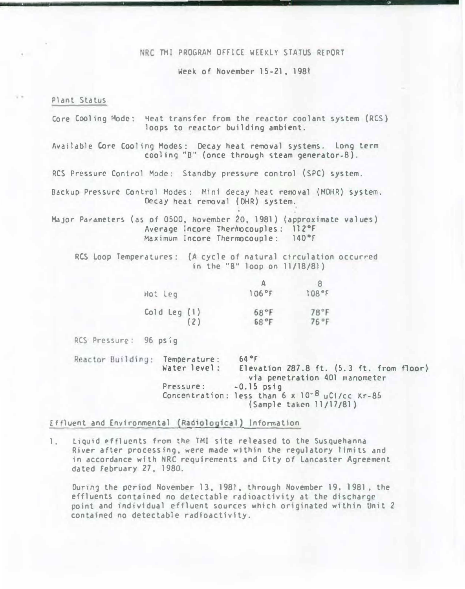### NRC TMI PROGRAM OFFICE WEEKLY STATUS REPORT

Week of November 15-21, 1981

#### Plant Status

Core Cooling Mode: Heat transfer from the reactor coolant system (RCS) loops to reactor building ambient. Available Core Cooling Modes: Decay heat removal systems. Long term cooling "B" (once through steam generator-B). RCS Pressure Control Mode: Standby pressure control (SPC) system. Backup Pressure Control Modes: Mini decay heat removal (MDHR) system. Decay heat removal (DHR) system. Major Parameters (as of 0500, November 20, 1981) (approximate values) Average Incore Therinocouples: 112°F Maximum lncore Thermocouple: l40°f

RCS Loop Temperatures: (A cycle of natural circulation occurred in the ''B" loop on 11/18/81)

| Ho: Leg      | 106°F | 108°F |
|--------------|-------|-------|
| Cold Leg (1) | 68°F  | 78°F  |
| (2)          | 68°F  | 76 °F |

RCS Pressure: 96 psig

Reactor Building: Temperature: Water level: Pressure: Concentration: less than 6 x 10<sup>-8</sup> uCi/cc Kr-85 64 °t Elevation 287.8 ft. (5. 3 ft. from floor) via penetration 401 manometer -0.15 psig (Sample taken 11/17/81)

Effluent and Environmental (Radiological) Information

1. Liquid effluents from the TMI site released to the Susquehanna River after processing, were made within the regulatory limits and in accordance with NRC requirements and City of Lancaster Agreement dated February 27, 1980.

During the period November 13, 1981, through November 19, 1981, the effluents contained no detectable radioactivity at the discharge point and individual effluent sources which originated within Unit 2 contained no detectable radioactivity.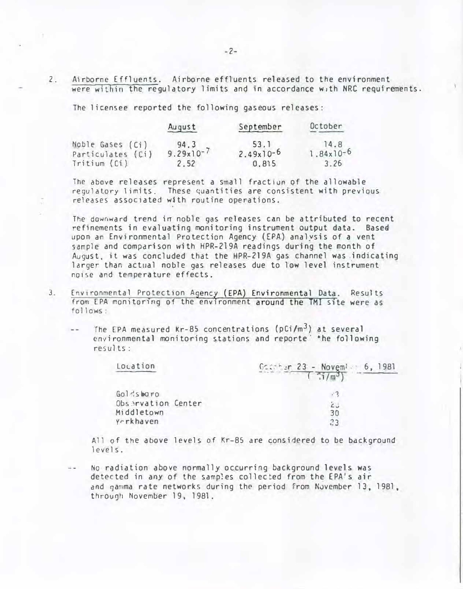Airborne Effluents. Airborne effluents released to the environment  $2.$ were within the requlatory limits and in accordance with NRC requirements.

The licensee reported the following gaseous releases:

|                                       | August                        | September           | October                       |  |
|---------------------------------------|-------------------------------|---------------------|-------------------------------|--|
| Noble Gases (Ci)<br>Particulates (Ci) | 94.3<br>$9.29 \times 10^{-7}$ | 53.1<br>$2.49x10-6$ | 14.8<br>$1.84 \times 10^{-6}$ |  |
| Tritium (Ci)                          | 2.52                          | 0, 815              | 3.26                          |  |

The above releases represent a small fraction of the allowable regulatory limits. These quantities are consistent with previous releases associated with routine operations.

The downward trend in noble gas releases can be attributed to recent refinements in evaluating monitoring instrument output data. Based upon an Environmental Protection Agency (EPA) analysis of a vent sample and comparison with HPR-219A readings during the month of August, it was concluded that the HPR-219A gas channel was indicating larger than actual noble gas releases due to low level instrument noise and temperature effects.

- $3<sub>1</sub>$ Environmental Protection Agency (EPA) Environmental Data. Results from EPA monitoring of the environment around the TMI site were as  $follows:$ 
	- The EPA measured Kr-85 concentrations ( $pCi/m<sup>3</sup>$ ) at several environmental monitoring stations and reporte the following  $results:$

| Location           | Godther 23 - Novem! 6, 1981 |
|--------------------|-----------------------------|
| Goldsbaro          |                             |
| Observation Center |                             |
| Middletown         | 30                          |
| Yorkhaven          |                             |

All of the above levels of Kr-85 are considered to be background  $levels.$ 

No radiation above normally occurring background levels was detected in any of the samples collected from the EPA's air and gamma rate networks during the period from November 13, 1981, through November 19, 1981.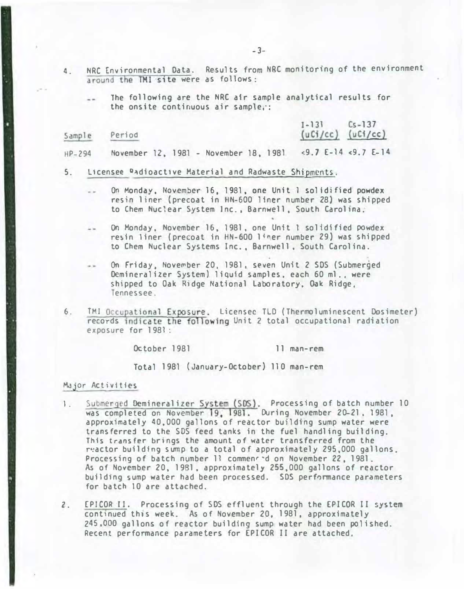- 4. NRC Environmental Data. Results from NRC monitoring of the environment around the TMl site were as follows:
	- The following are the NRC air sample analytical results for the onsite continuous air sample,·:

| Sample   | Period |  |  |  | $[-13]$ $[5-13]$<br>$(uCi/cc)$ $(uCi/cc)$                 |  |
|----------|--------|--|--|--|-----------------------------------------------------------|--|
| $HP-294$ |        |  |  |  | November 12, 1981 - November 18, 1981 <9.7 E-14 <9.7 E-14 |  |

- 5. Licensee Oadioactive Material and Radwaste Shipments.
	- On Monday, November 16, 1981, one Unit 1 solidified powdex resin liner (precoat in HN-600 liner number 28) was shipped to Chem Nuclear System Inc., Barnwell, South Carolina.
	- On Monday, November 16, 1981, one Unit 1 solidified powdex re�in liner (precoat in HN-600 liner number 29) was shipped to Chem Nuclear Systems Inc., Barnwell, South Carolina.
	- On Friday, Nove�ber 20, 1981, seven Unit 2 SOS (Submerged Oemincralizer System) liquid samples. each 60 ml., were shipped to Oak Ridge National Laboratory, Oak Ridge, Tennessee.
- 6. TMI Occupational Exposure. Licensec TLD (Thermoluminescent Dosimeter) records indicate the following Unit 2 total occupational radiation exposure for 1981 :

October 1981 11 man-rem

Total 1981 (January-October) 110 man-rem

#### Major Activities

ļ

- l. Submerged Demineralizer System (SDS). Processing of batch number 10 was completed on November 19, 1981. During November 20-21. 1981, approximately 40.000 gallons of reattor building sump water were transferred to the SDS feed tanks in the fuel handling building. This transfer brings the amount of water transferred from the reactor building sump to a total of approximately 295,000 gallons. Processing of batch number 11 commenrid on November 22, 1981. As of November 20, 1981. approximately 255,000 gallons of reactor building sump water had been processed. SDS performance parameters for batch 10 are attached.
- 2. fPICOR 11. Processing of SDS effluent through the EPICOR II system continued this week. As of November 20, 1981, approximately 245,000 gallons of reactor building sump water had been polished. Recent performance parameters for EPICOR II are attached.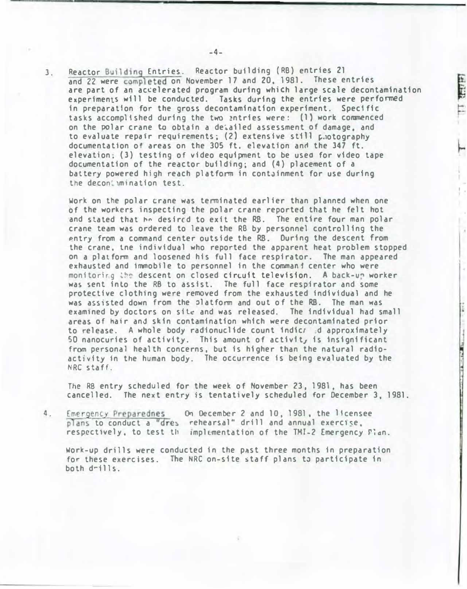3. Reactor Building Entries. Reactor building (RB) entries 21 and 22 were completed on November 17 and 20, 1981. These entries are part of an accelerated program during which large scale decontamination experiments will be conducted. Tasks during the entries were performed in preparation for the gross decontamination experiment. Specific tasks accomplished during the two entries were: (1) work commenced on the POlar crane to obtain a de�ailed assessment of damage. and to evaluate repair requirements; (2) extensive still  $\mathfrak{p}$ .otography documentation of areas on the 305 ft. elevation and the 347 ft. elevation. (3) testing of video equipment to be useo for video tape documentation of the reactor building; and (4) placement of a battery powered high reach platform in containment for use during the deconiumination test.

**THE R** 

Work on the polar crane was terminated earlier than planned when one of the wor�crs inspecting the polar crane reported that he felt hot and stated that he desired to exit the RB. The entire four man polar crane team was ordered to leave the RB by personnel controlling the �ntry from a command center outside the RB. During the descent from the crane, tne individual who reported the apparent heat problem stopped on a plat fonn and loosened his fu11 face respirator. The man appeared exhausted and immobile to personnel in the commani center who were monitoring the descent on closed circuit television. A back-up worker was sent into the RB to assist. The full face respirator and some protective clothing were removed from the exhausted individual and he was assisted down from the platform and out of the RB. The man was examined by doctors on site and was released. The individual had small areas of hair anJ skin contamination which were decontaminated prior to release. A whole body radionuclide count 1ndic; d approximately 50 nanocuries of activity. This amount of activit, is insignificant from personal health concerns, but is higher than the natural radioactivity in the human body. The occurrence is being evaluated by the NRC staff .

The RB entry scheduled for the week of November 23, 1981, has been cancelled. The next entry is tentatively scheduled for December 3, 1981.

4. Emergency Preparednes On December 2 and 10, 1981, the 1 tcensee plans to conduct a "dres rehearsal" drill and annual exercise. respectively, to test the implementation of the TMI-2 Emergency  $\Gamma$  an.

Work-up drills were conducted in the past three months in preparation for these exercises. The NRC on-site staff plans to participate in both d�ills.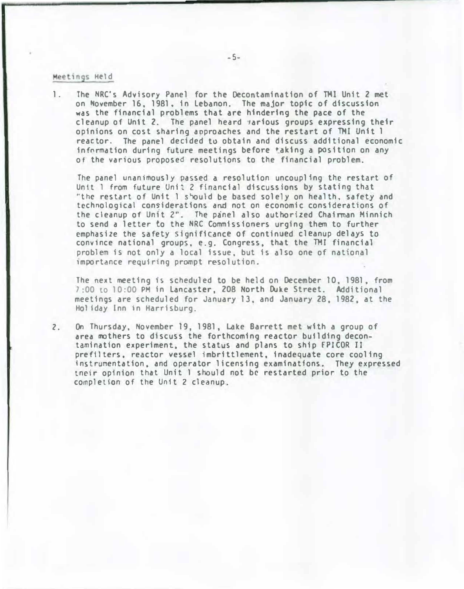#### Meetings Held

l. The NRC's Advisory Panel for the Decontamination of TMI Unit 2 met on November 16, 1981, in Lebanon. The major topic of discussion was the financial problems that are hindering the pace of the cleanup of Unit 2. The panel heard *iarious* groups expressing their opinions on cost sharing approaches and the restart of TMI Unit 1 reactor. The panel decided to obtain and discuss additional economic fnfnrmatfon during future meetings before tak1ng a position on any of the various proposed resolutions to the financial problem.

The panel unanimously passed a resolution uncoupling the restart of Un1t 1 from future Unit 2 financial discussions by stating that "the restart of Unit 1 should be based solely on health, safety and technological considerations and not on economic considerations of the cleanup of Unit 2". The panel also authorized Chairman Minnich to send a letter to the NRC Commissioners urging them to further emphasize the safety significance of continued cleanup delays to conv1nce national groups, e.g. Congress. that the THY financial problem fs not only a local issue, but is also one of national importance requiring prompt resolution.

The next meeting is scheduled to be held on December 10, 1981. from 7:00 to 10:00 PM in Lancaster, 208 North Duke Street. Additional meetings are scheduled for January 13, and January 28, 1982, at the Ho� fday Inn in Harrisburg.

2. On Thursday, November 19, 1981, Lake Barrett met with a group of area mothers to discuss the forthcoming reactor building decontamination experiment, the status and plans to ship fPICOR II prefllters, reactor vessel imbrittlement, inadequate core cooling instrumentation, and operator licensing examinations. They expressed tncir opinion that Unit 1 should not be restarted prior to the cornpletion of the Unit 2 cleanup.